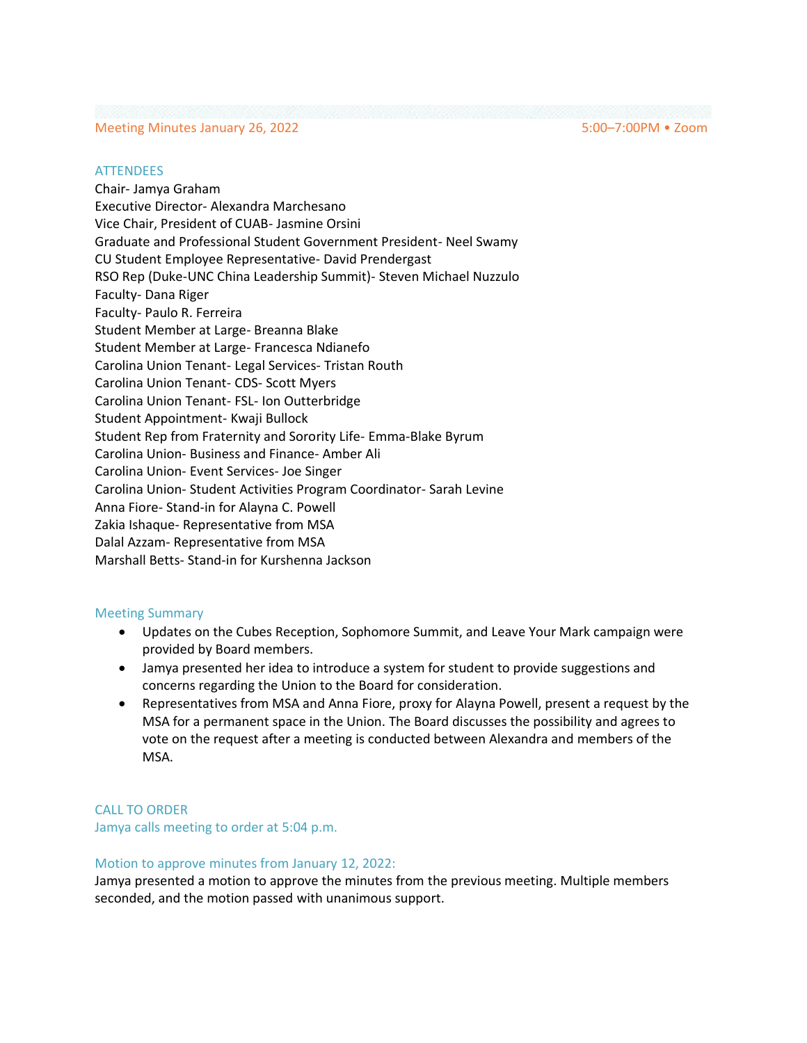### Meeting Minutes January 26, 2022 5:00–7:00PM • Zoom

#### **ATTENDEES**

Chair- Jamya Graham Executive Director- Alexandra Marchesano Vice Chair, President of CUAB- Jasmine Orsini Graduate and Professional Student Government President- Neel Swamy CU Student Employee Representative- David Prendergast RSO Rep (Duke-UNC China Leadership Summit)- Steven Michael Nuzzulo Faculty- Dana Riger Faculty- Paulo R. Ferreira Student Member at Large- Breanna Blake Student Member at Large- Francesca Ndianefo Carolina Union Tenant- Legal Services- Tristan Routh Carolina Union Tenant- CDS- Scott Myers Carolina Union Tenant- FSL- Ion Outterbridge Student Appointment- Kwaji Bullock Student Rep from Fraternity and Sorority Life- Emma-Blake Byrum Carolina Union- Business and Finance- Amber Ali Carolina Union- Event Services- Joe Singer Carolina Union- Student Activities Program Coordinator- Sarah Levine Anna Fiore- Stand-in for Alayna C. Powell Zakia Ishaque- Representative from MSA Dalal Azzam- Representative from MSA Marshall Betts- Stand-in for Kurshenna Jackson

### Meeting Summary

- Updates on the Cubes Reception, Sophomore Summit, and Leave Your Mark campaign were provided by Board members.
- Jamya presented her idea to introduce a system for student to provide suggestions and concerns regarding the Union to the Board for consideration.
- Representatives from MSA and Anna Fiore, proxy for Alayna Powell, present a request by the MSA for a permanent space in the Union. The Board discusses the possibility and agrees to vote on the request after a meeting is conducted between Alexandra and members of the MSA.

CALL TO ORDER Jamya calls meeting to order at 5:04 p.m.

### Motion to approve minutes from January 12, 2022:

Jamya presented a motion to approve the minutes from the previous meeting. Multiple members seconded, and the motion passed with unanimous support.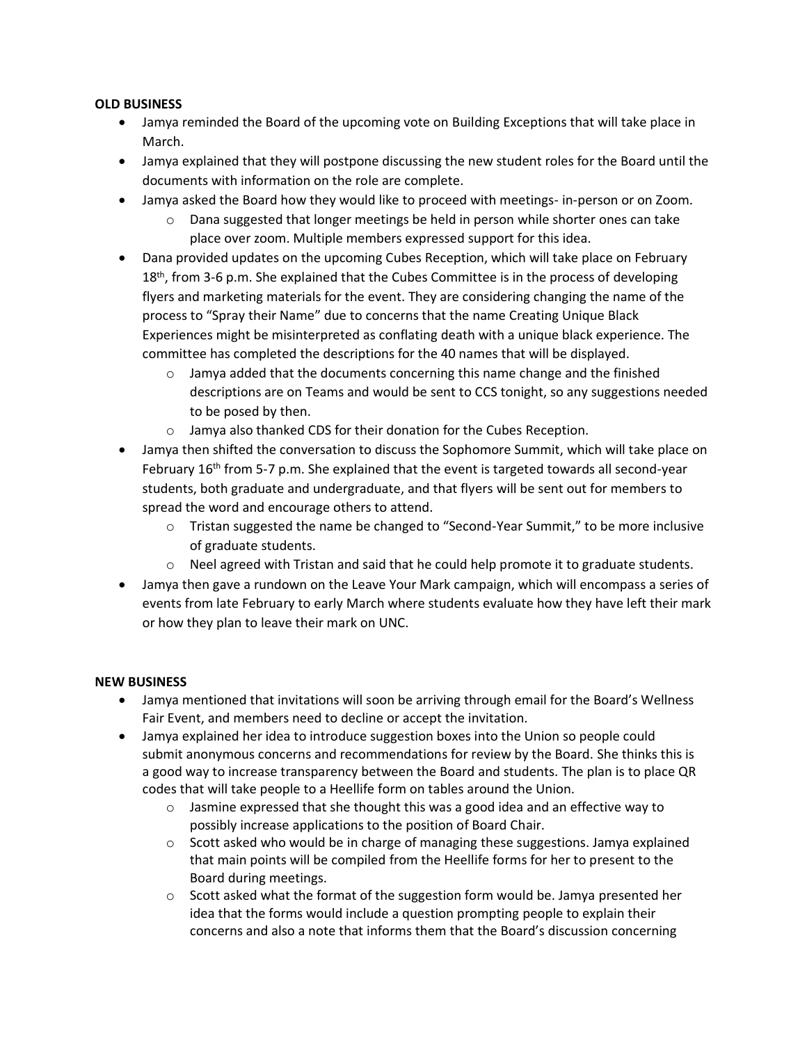# **OLD BUSINESS**

- Jamya reminded the Board of the upcoming vote on Building Exceptions that will take place in March.
- Jamya explained that they will postpone discussing the new student roles for the Board until the documents with information on the role are complete.
- Jamya asked the Board how they would like to proceed with meetings- in-person or on Zoom.
	- $\circ$  Dana suggested that longer meetings be held in person while shorter ones can take place over zoom. Multiple members expressed support for this idea.
- Dana provided updates on the upcoming Cubes Reception, which will take place on February  $18<sup>th</sup>$ , from 3-6 p.m. She explained that the Cubes Committee is in the process of developing flyers and marketing materials for the event. They are considering changing the name of the process to "Spray their Name" due to concerns that the name Creating Unique Black Experiences might be misinterpreted as conflating death with a unique black experience. The committee has completed the descriptions for the 40 names that will be displayed.
	- $\circ$  Jamya added that the documents concerning this name change and the finished descriptions are on Teams and would be sent to CCS tonight, so any suggestions needed to be posed by then.
	- o Jamya also thanked CDS for their donation for the Cubes Reception.
- Jamya then shifted the conversation to discuss the Sophomore Summit, which will take place on February  $16<sup>th</sup>$  from 5-7 p.m. She explained that the event is targeted towards all second-year students, both graduate and undergraduate, and that flyers will be sent out for members to spread the word and encourage others to attend.
	- o Tristan suggested the name be changed to "Second-Year Summit," to be more inclusive of graduate students.
	- $\circ$  Neel agreed with Tristan and said that he could help promote it to graduate students.
- Jamya then gave a rundown on the Leave Your Mark campaign, which will encompass a series of events from late February to early March where students evaluate how they have left their mark or how they plan to leave their mark on UNC.

# **NEW BUSINESS**

- Jamya mentioned that invitations will soon be arriving through email for the Board's Wellness Fair Event, and members need to decline or accept the invitation.
- Jamya explained her idea to introduce suggestion boxes into the Union so people could submit anonymous concerns and recommendations for review by the Board. She thinks this is a good way to increase transparency between the Board and students. The plan is to place QR codes that will take people to a Heellife form on tables around the Union.
	- $\circ$  Jasmine expressed that she thought this was a good idea and an effective way to possibly increase applications to the position of Board Chair.
	- $\circ$  Scott asked who would be in charge of managing these suggestions. Jamya explained that main points will be compiled from the Heellife forms for her to present to the Board during meetings.
	- $\circ$  Scott asked what the format of the suggestion form would be. Jamya presented her idea that the forms would include a question prompting people to explain their concerns and also a note that informs them that the Board's discussion concerning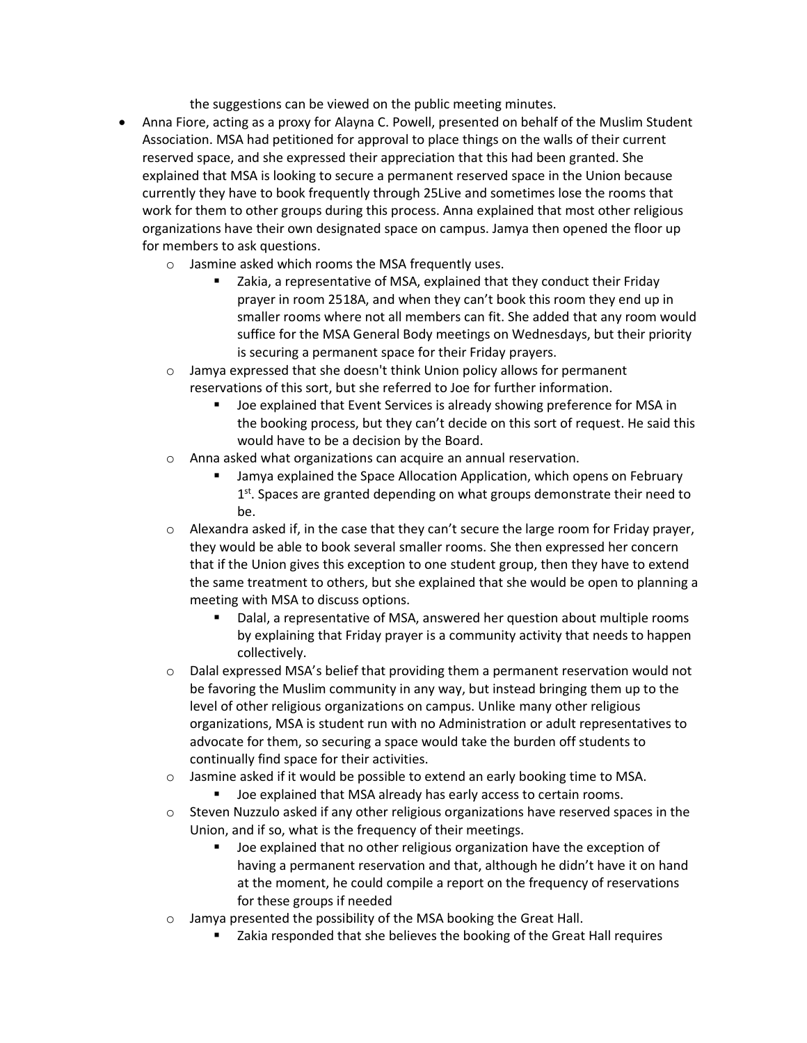the suggestions can be viewed on the public meeting minutes.

- Anna Fiore, acting as a proxy for Alayna C. Powell, presented on behalf of the Muslim Student Association. MSA had petitioned for approval to place things on the walls of their current reserved space, and she expressed their appreciation that this had been granted. She explained that MSA is looking to secure a permanent reserved space in the Union because currently they have to book frequently through 25Live and sometimes lose the rooms that work for them to other groups during this process. Anna explained that most other religious organizations have their own designated space on campus. Jamya then opened the floor up for members to ask questions.
	- o Jasmine asked which rooms the MSA frequently uses.
		- Zakia, a representative of MSA, explained that they conduct their Friday prayer in room 2518A, and when they can't book this room they end up in smaller rooms where not all members can fit. She added that any room would suffice for the MSA General Body meetings on Wednesdays, but their priority is securing a permanent space for their Friday prayers.
	- o Jamya expressed that she doesn't think Union policy allows for permanent reservations of this sort, but she referred to Joe for further information.
		- Joe explained that Event Services is already showing preference for MSA in the booking process, but they can't decide on this sort of request. He said this would have to be a decision by the Board.
	- o Anna asked what organizations can acquire an annual reservation.
		- Jamya explained the Space Allocation Application, which opens on February 1<sup>st</sup>. Spaces are granted depending on what groups demonstrate their need to be.
	- $\circ$  Alexandra asked if, in the case that they can't secure the large room for Friday prayer, they would be able to book several smaller rooms. She then expressed her concern that if the Union gives this exception to one student group, then they have to extend the same treatment to others, but she explained that she would be open to planning a meeting with MSA to discuss options.
		- Dalal, a representative of MSA, answered her question about multiple rooms by explaining that Friday prayer is a community activity that needs to happen collectively.
	- $\circ$  Dalal expressed MSA's belief that providing them a permanent reservation would not be favoring the Muslim community in any way, but instead bringing them up to the level of other religious organizations on campus. Unlike many other religious organizations, MSA is student run with no Administration or adult representatives to advocate for them, so securing a space would take the burden off students to continually find space for their activities.
	- $\circ$  Jasmine asked if it would be possible to extend an early booking time to MSA.
		- Joe explained that MSA already has early access to certain rooms.
	- $\circ$  Steven Nuzzulo asked if any other religious organizations have reserved spaces in the Union, and if so, what is the frequency of their meetings.
		- Joe explained that no other religious organization have the exception of having a permanent reservation and that, although he didn't have it on hand at the moment, he could compile a report on the frequency of reservations for these groups if needed
	- o Jamya presented the possibility of the MSA booking the Great Hall.
		- Zakia responded that she believes the booking of the Great Hall requires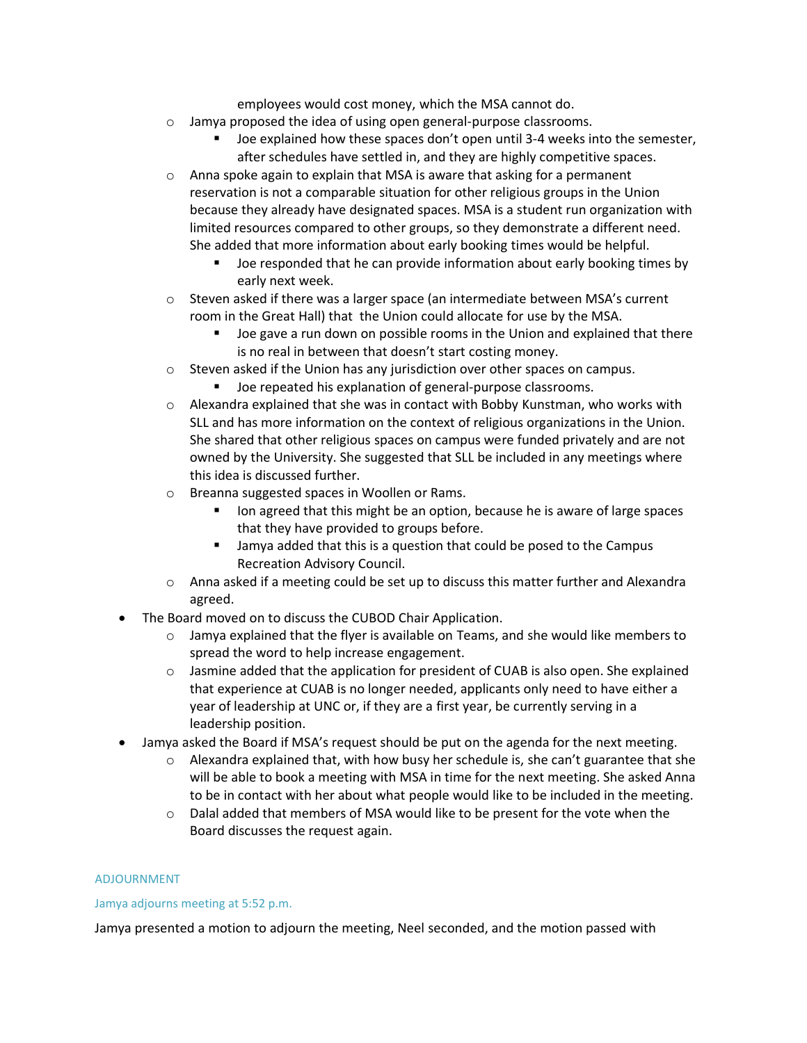employees would cost money, which the MSA cannot do.

- o Jamya proposed the idea of using open general-purpose classrooms.
	- Joe explained how these spaces don't open until 3-4 weeks into the semester, after schedules have settled in, and they are highly competitive spaces.
- $\circ$  Anna spoke again to explain that MSA is aware that asking for a permanent reservation is not a comparable situation for other religious groups in the Union because they already have designated spaces. MSA is a student run organization with limited resources compared to other groups, so they demonstrate a different need. She added that more information about early booking times would be helpful.
	- Joe responded that he can provide information about early booking times by early next week.
- $\circ$  Steven asked if there was a larger space (an intermediate between MSA's current room in the Great Hall) that the Union could allocate for use by the MSA.
	- Joe gave a run down on possible rooms in the Union and explained that there is no real in between that doesn't start costing money.
- o Steven asked if the Union has any jurisdiction over other spaces on campus.
	- Joe repeated his explanation of general-purpose classrooms.
- $\circ$  Alexandra explained that she was in contact with Bobby Kunstman, who works with SLL and has more information on the context of religious organizations in the Union. She shared that other religious spaces on campus were funded privately and are not owned by the University. She suggested that SLL be included in any meetings where this idea is discussed further.
- o Breanna suggested spaces in Woollen or Rams.
	- Ion agreed that this might be an option, because he is aware of large spaces that they have provided to groups before.
	- Jamya added that this is a question that could be posed to the Campus Recreation Advisory Council.
- $\circ$  Anna asked if a meeting could be set up to discuss this matter further and Alexandra agreed.
- The Board moved on to discuss the CUBOD Chair Application.
	- $\circ$  Jamya explained that the flyer is available on Teams, and she would like members to spread the word to help increase engagement.
	- $\circ$  Jasmine added that the application for president of CUAB is also open. She explained that experience at CUAB is no longer needed, applicants only need to have either a year of leadership at UNC or, if they are a first year, be currently serving in a leadership position.
- Jamya asked the Board if MSA's request should be put on the agenda for the next meeting.
	- $\circ$  Alexandra explained that, with how busy her schedule is, she can't guarantee that she will be able to book a meeting with MSA in time for the next meeting. She asked Anna to be in contact with her about what people would like to be included in the meeting.
	- $\circ$  Dalal added that members of MSA would like to be present for the vote when the Board discusses the request again.

### ADJOURNMENT

### Jamya adjourns meeting at 5:52 p.m.

Jamya presented a motion to adjourn the meeting, Neel seconded, and the motion passed with